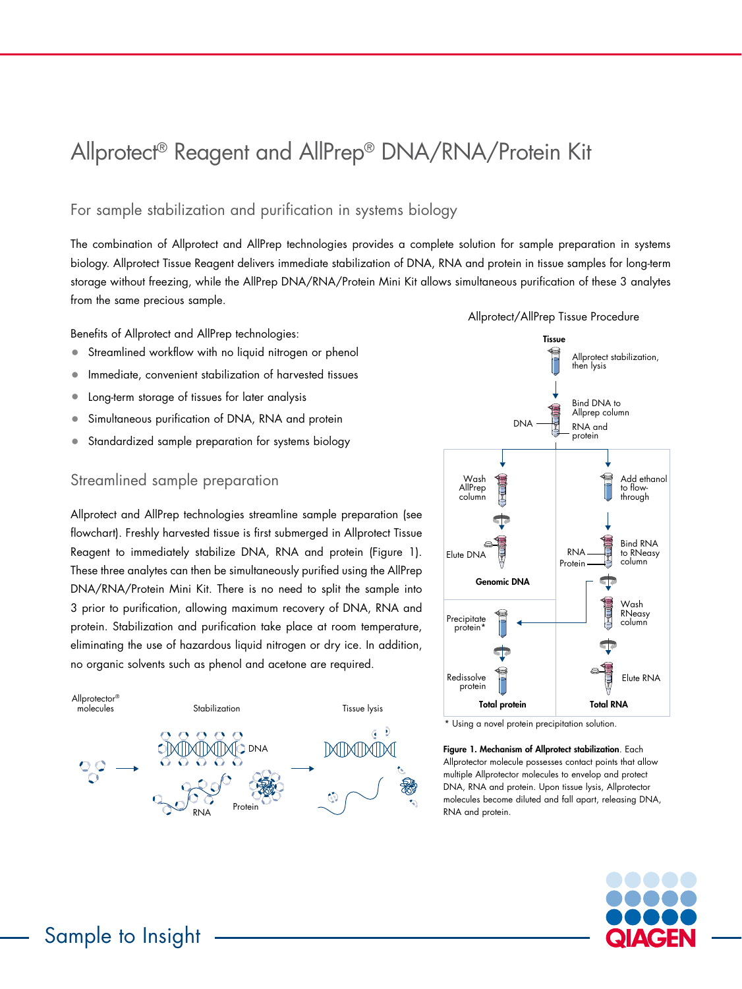# Allprotect® Reagent and AllPrep® DNA/RNA/Protein Kit

## For sample stabilization and purification in systems biology

The combination of Allprotect and AllPrep technologies provides a complete solution for sample preparation in systems biology. Allprotect Tissue Reagent delivers immediate stabilization of DNA, RNA and protein in tissue samples for long-term storage without freezing, while the AllPrep DNA/RNA/Protein Mini Kit allows simultaneous purification of these 3 analytes from the same precious sample.

Benefits of Allprotect and AllPrep technologies:

- Streamlined workflow with no liquid nitrogen or phenol
- Immediate, convenient stabilization of harvested tissues
- Long-term storage of tissues for later analysis
- Simultaneous purification of DNA, RNA and protein
- Standardized sample preparation for systems biology

### Streamlined sample preparation

Allprotect and AllPrep technologies streamline sample preparation (see flowchart). Freshly harvested tissue is first submerged in Allprotect Tissue Reagent to immediately stabilize DNA, RNA and protein (Figure 1). These three analytes can then be simultaneously purified using the AllPrep DNA/RNA/Protein Mini Kit. There is no need to split the sample into 3 prior to purification, allowing maximum recovery of DNA, RNA and protein. Stabilization and purification take place at room temperature, eliminating the use of hazardous liquid nitrogen or dry ice. In addition, no organic solvents such as phenol and acetone are required.





\* Using a novel protein precipitation solution.

Figure 1. Mechanism of Allprotect stabilization. Each Allprotector molecule possesses contact points that allow multiple Allprotector molecules to envelop and protect DNA, RNA and protein. Upon tissue lysis, Allprotector molecules become diluted and fall apart, releasing DNA, RNA and protein.



## Sample to Insight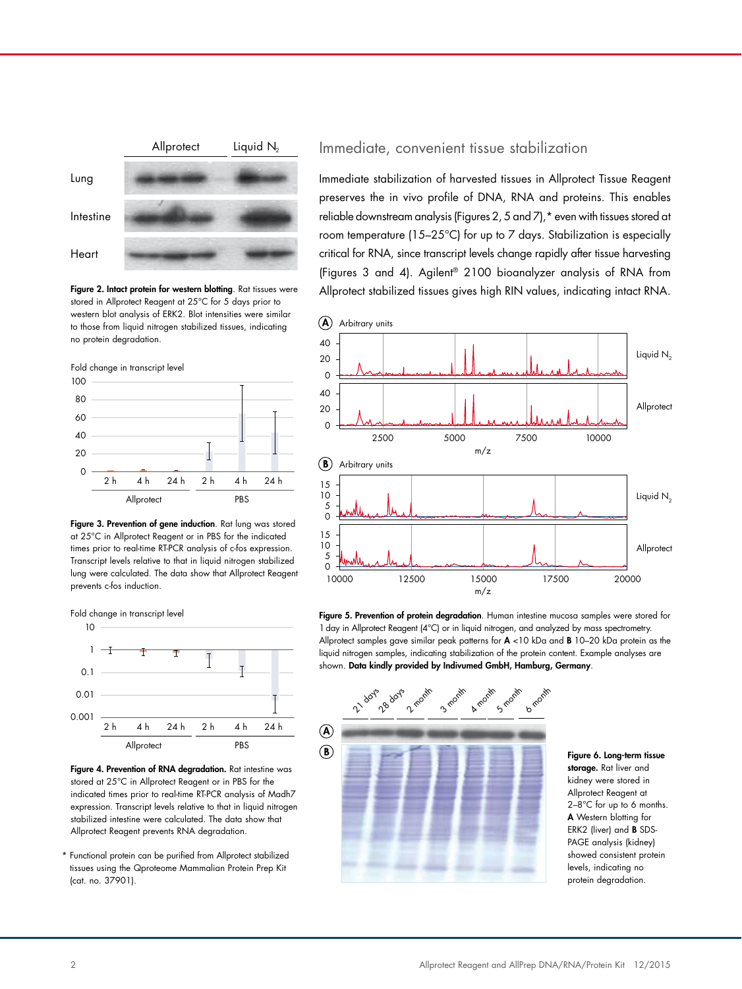

Figure 2. Intact protein for western blotting. Rat tissues were stored in Allprotect Reagent at 25°C for 5 days prior to western blot analysis of ERK2. Blot intensities were similar to those from liquid nitrogen stabilized tissues, indicating no protein degradation.



Figure 3. Prevention of gene induction. Rat lung was stored at 25°C in Allprotect Reagent or in PBS for the indicated times prior to real-time RT-PCR analysis of c-fos expression. Transcript levels relative to that in liquid nitrogen stabilized lung were calculated. The data show that Allprotect Reagent prevents c-fos induction.





\* Functional protein can be purified from Allprotect stabilized tissues using the Qproteome Mammalian Protein Prep Kit (cat. no. 37901).

#### Immediate, convenient tissue stabilization

Immediate stabilization of harvested tissues in Allprotect Tissue Reagent preserves the in vivo profile of DNA, RNA and proteins. This enables reliable downstream analysis (Figures 2, 5 and 7),\* even with tissues stored at room temperature (15–25°C) for up to 7 days. Stabilization is especially critical for RNA, since transcript levels change rapidly after tissue harvesting (Figures 3 and 4). Agilent® 2100 bioanalyzer analysis of RNA from Allprotect stabilized tissues gives high RIN values, indicating intact RNA.



Figure 5. Prevention of protein degradation. Human intestine mucosa samples were stored for 1 day in Allprotect Reagent (4°C) or in liquid nitrogen, and analyzed by mass spectrometry. Allprotect samples gave similar peak patterns for  $A < 10$  kDa and B 10–20 kDa protein as the liquid nitrogen samples, indicating stabilization of the protein content. Example analyses are shown. Data kindly provided by Indivumed GmbH, Hamburg, Germany.



Figure 6. Long-term tissue storage. Rat liver and kidney were stored in Allprotect Reagent at 2–8°C for up to 6 months. A Western blotting for ERK2 (liver) and B SDS-PAGE analysis (kidney) showed consistent protein levels, indicating no protein degradation.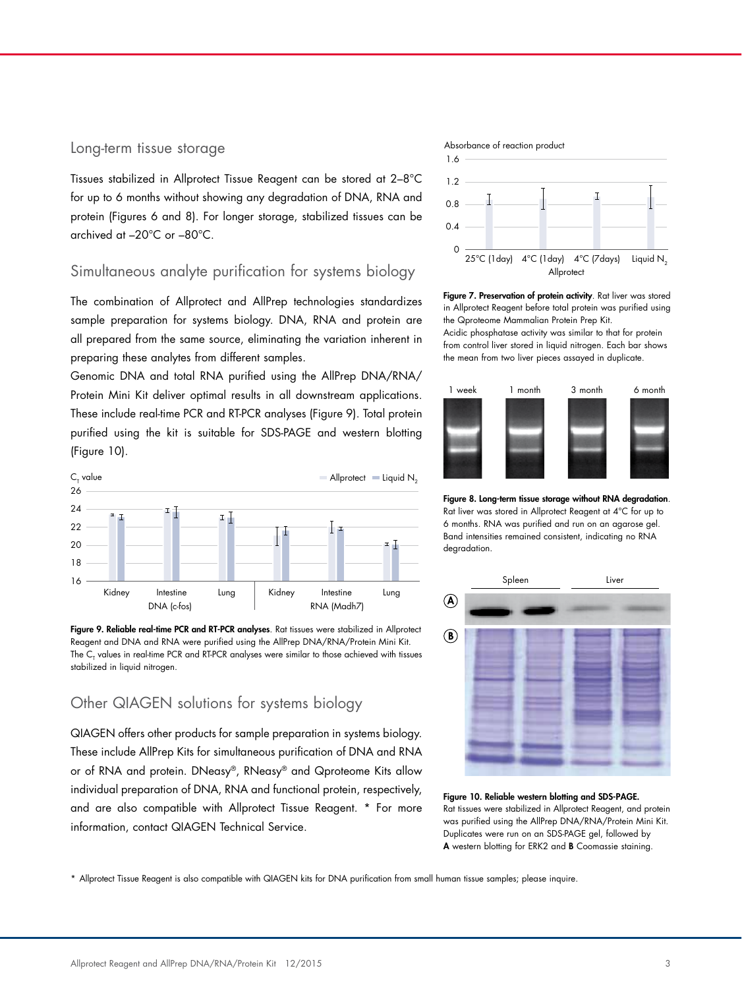#### Long-term tissue storage

Tissues stabilized in Allprotect Tissue Reagent can be stored at 2–8°C for up to 6 months without showing any degradation of DNA, RNA and protein (Figures 6 and 8). For longer storage, stabilized tissues can be archived at –20°C or –80°C.

### Simultaneous analyte purification for systems biology

The combination of Allprotect and AllPrep technologies standardizes sample preparation for systems biology. DNA, RNA and protein are all prepared from the same source, eliminating the variation inherent in preparing these analytes from different samples.

Genomic DNA and total RNA purified using the AllPrep DNA/RNA/ Protein Mini Kit deliver optimal results in all downstream applications. These include real-time PCR and RT-PCR analyses (Figure 9). Total protein purified using the kit is suitable for SDS-PAGE and western blotting (Figure 10).





## Other QIAGEN solutions for systems biology

QIAGEN offers other products for sample preparation in systems biology. These include AllPrep Kits for simultaneous purification of DNA and RNA or of RNA and protein. DNeasy®, RNeasy® and Qproteome Kits allow individual preparation of DNA, RNA and functional protein, respectively, and are also compatible with Allprotect Tissue Reagent. \* For more information, contact QIAGEN Technical Service.

#### Absorbance of reaction product



Figure 7. Preservation of protein activity. Rat liver was stored in Allprotect Reagent before total protein was purified using the Qproteome Mammalian Protein Prep Kit. Acidic phosphatase activity was similar to that for protein from control liver stored in liquid nitrogen. Each bar shows the mean from two liver pieces assayed in duplicate.



Figure 8. Long-term tissue storage without RNA degradation. Rat liver was stored in Allprotect Reagent at 4°C for up to 6 months. RNA was purified and run on an agarose gel. Band intensities remained consistent, indicating no RNA degradation.



Figure 10. Reliable western blotting and SDS-PAGE. Rat tissues were stabilized in Allprotect Reagent, and protein was purified using the AllPrep DNA/RNA/Protein Mini Kit. Duplicates were run on an SDS-PAGE gel, followed by A western blotting for ERK2 and B Coomassie staining.

\* Allprotect Tissue Reagent is also compatible with QIAGEN kits for DNA purification from small human tissue samples; please inquire.